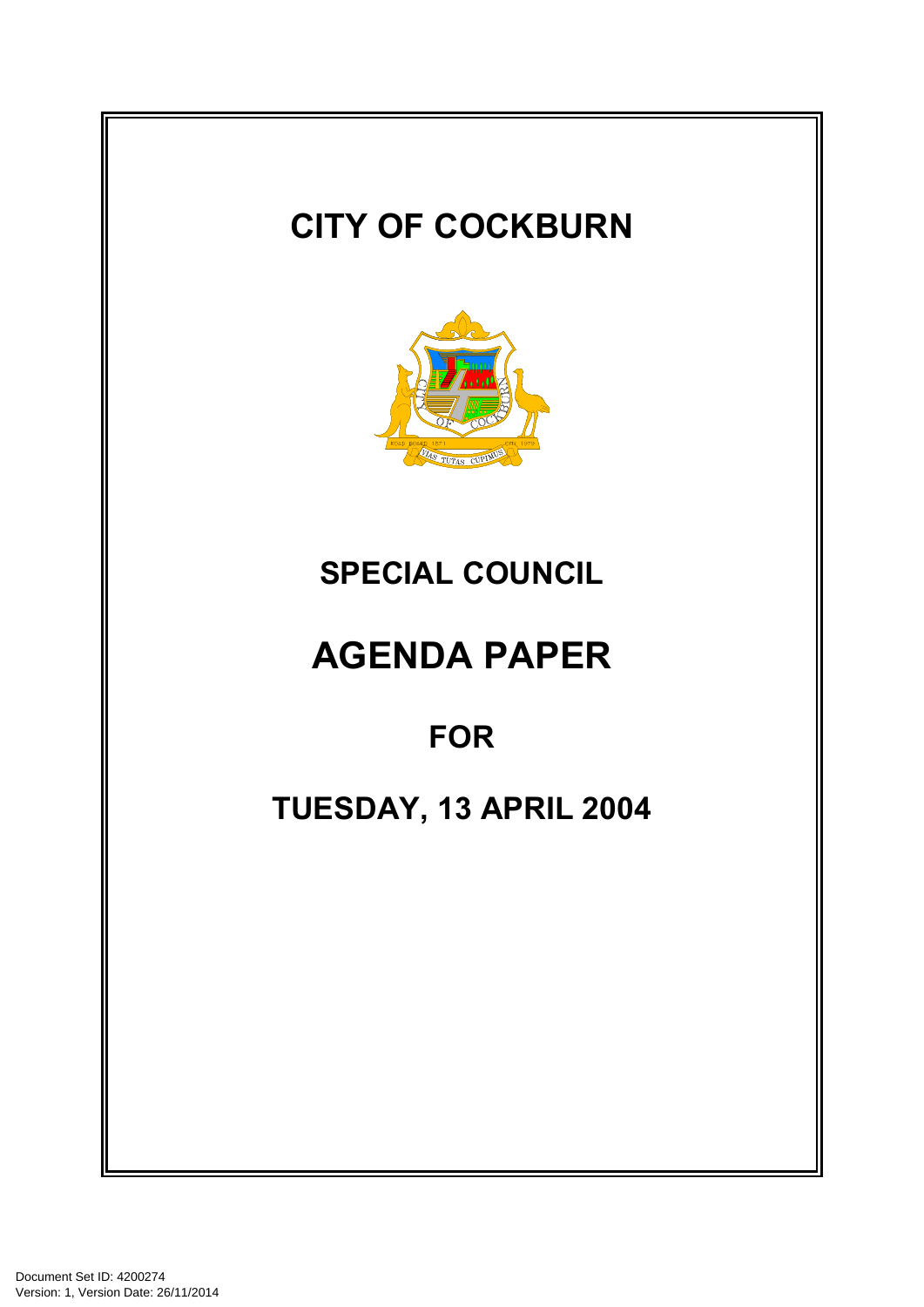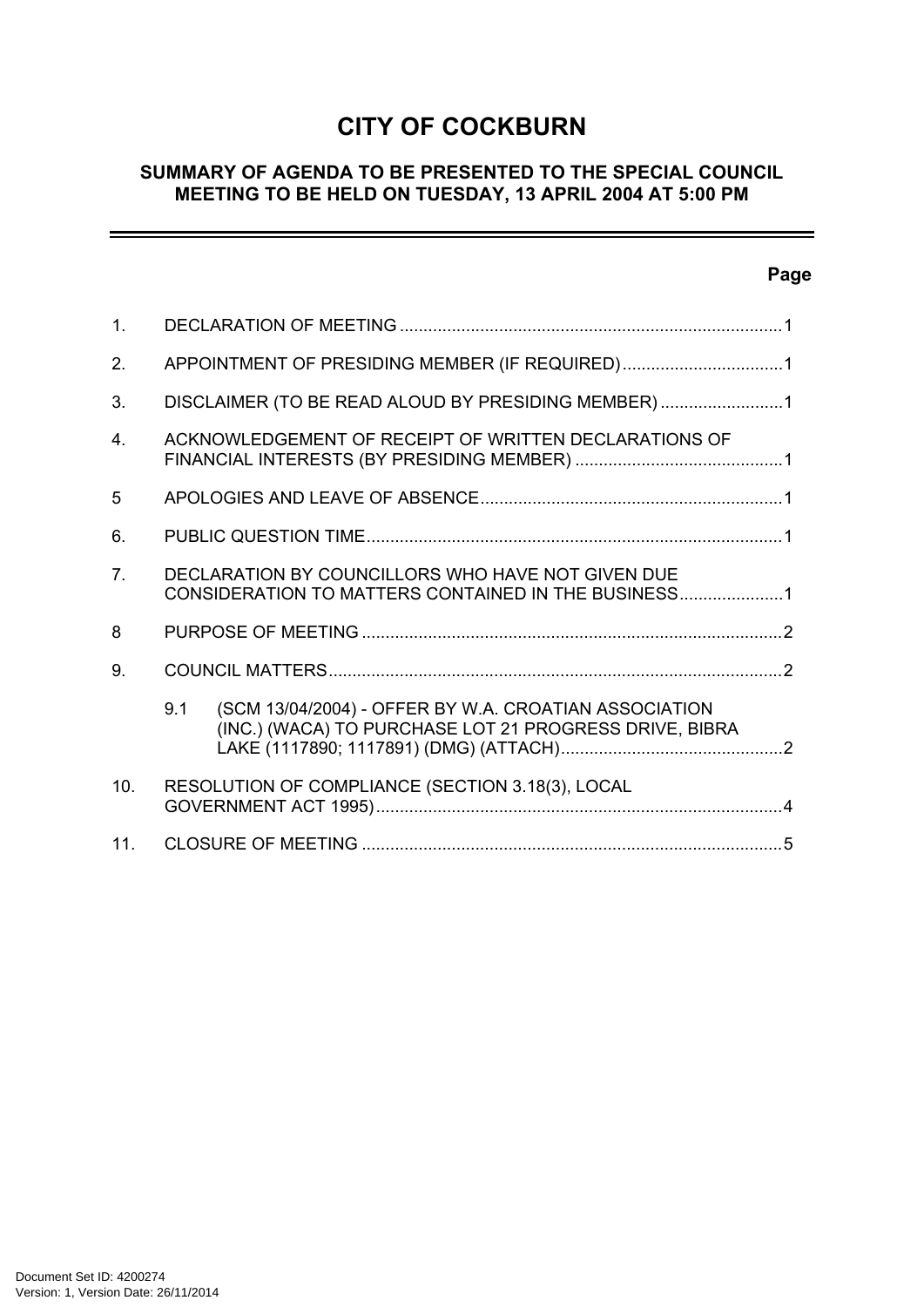# **CITY OF COCKBURN**

## **SUMMARY OF AGENDA TO BE PRESENTED TO THE SPECIAL COUNCIL MEETING TO BE HELD ON TUESDAY, 13 APRIL 2004 AT 5:00 PM**

## **Page**

 $=$ 

| 1 <sub>1</sub> |                                                                                                          |                                                                                                                 |  |
|----------------|----------------------------------------------------------------------------------------------------------|-----------------------------------------------------------------------------------------------------------------|--|
| 2.             | APPOINTMENT OF PRESIDING MEMBER (IF REQUIRED)1                                                           |                                                                                                                 |  |
| 3.             | DISCLAIMER (TO BE READ ALOUD BY PRESIDING MEMBER)1                                                       |                                                                                                                 |  |
| 4              | ACKNOWLEDGEMENT OF RECEIPT OF WRITTEN DECLARATIONS OF                                                    |                                                                                                                 |  |
| 5              |                                                                                                          |                                                                                                                 |  |
| 6.             |                                                                                                          |                                                                                                                 |  |
| 7 <sub>1</sub> | DECLARATION BY COUNCILLORS WHO HAVE NOT GIVEN DUE<br>CONSIDERATION TO MATTERS CONTAINED IN THE BUSINESS1 |                                                                                                                 |  |
| 8              |                                                                                                          |                                                                                                                 |  |
| 9.             |                                                                                                          |                                                                                                                 |  |
|                | 9.1                                                                                                      | (SCM 13/04/2004) - OFFER BY W.A. CROATIAN ASSOCIATION<br>(INC.) (WACA) TO PURCHASE LOT 21 PROGRESS DRIVE, BIBRA |  |
| 10.            | RESOLUTION OF COMPLIANCE (SECTION 3.18(3), LOCAL                                                         |                                                                                                                 |  |
| 11.            |                                                                                                          |                                                                                                                 |  |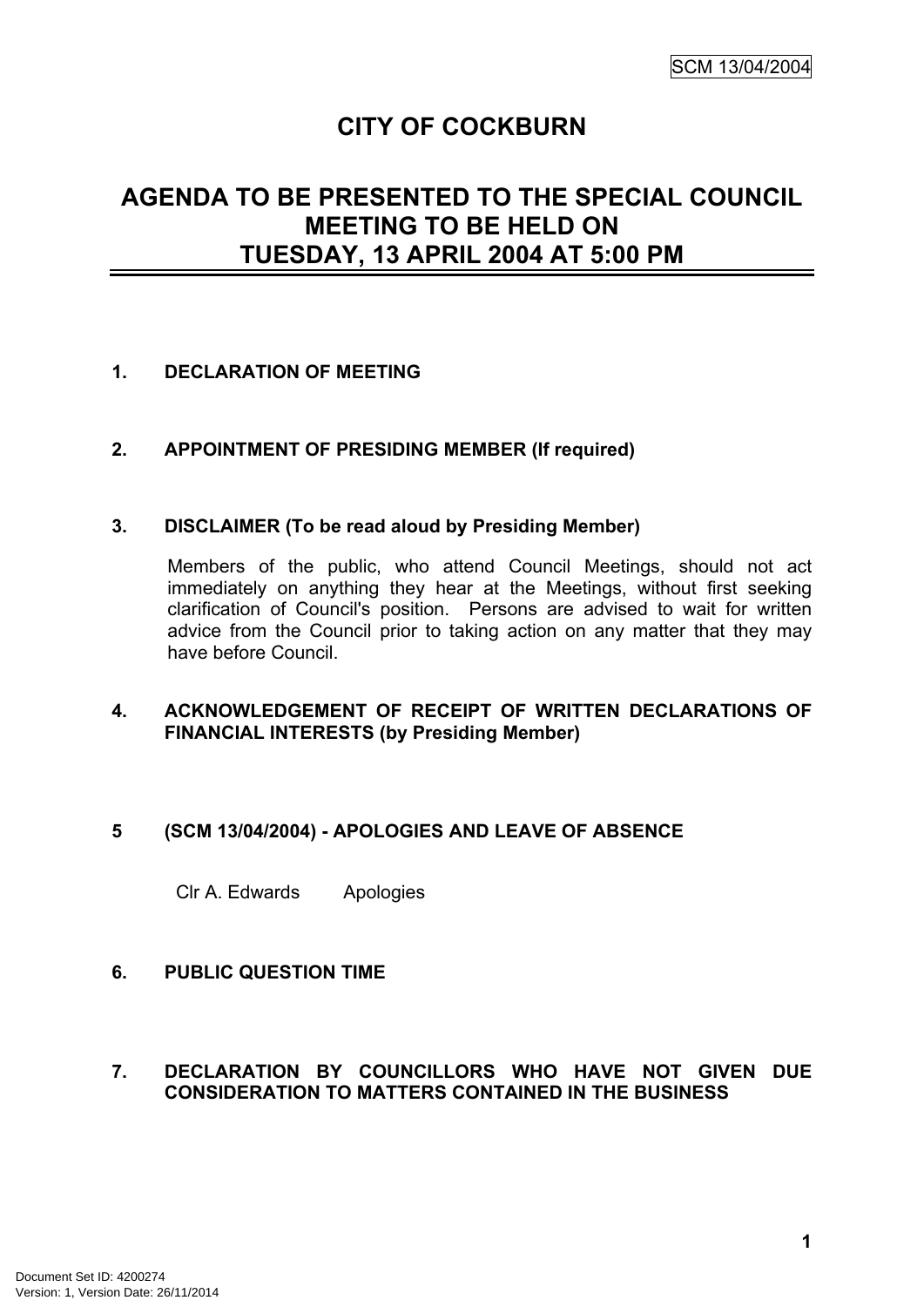## **CITY OF COCKBURN**

## **AGENDA TO BE PRESENTED TO THE SPECIAL COUNCIL MEETING TO BE HELD ON TUESDAY, 13 APRIL 2004 AT 5:00 PM**

#### <span id="page-2-0"></span>**1. DECLARATION OF MEETING**

#### <span id="page-2-1"></span>**2. APPOINTMENT OF PRESIDING MEMBER (If required)**

#### <span id="page-2-2"></span>**3. DISCLAIMER (To be read aloud by Presiding Member)**

Members of the public, who attend Council Meetings, should not act immediately on anything they hear at the Meetings, without first seeking clarification of Council's position. Persons are advised to wait for written advice from the Council prior to taking action on any matter that they may have before Council.

#### <span id="page-2-3"></span>**4. ACKNOWLEDGEMENT OF RECEIPT OF WRITTEN DECLARATIONS OF FINANCIAL INTERESTS (by Presiding Member)**

#### <span id="page-2-4"></span>**5 (SCM 13/04/2004) - APOLOGIES AND LEAVE OF ABSENCE**

Clr A. Edwards Apologies

#### <span id="page-2-5"></span>**6. PUBLIC QUESTION TIME**

#### <span id="page-2-6"></span>**7. DECLARATION BY COUNCILLORS WHO HAVE NOT GIVEN DUE CONSIDERATION TO MATTERS CONTAINED IN THE BUSINESS**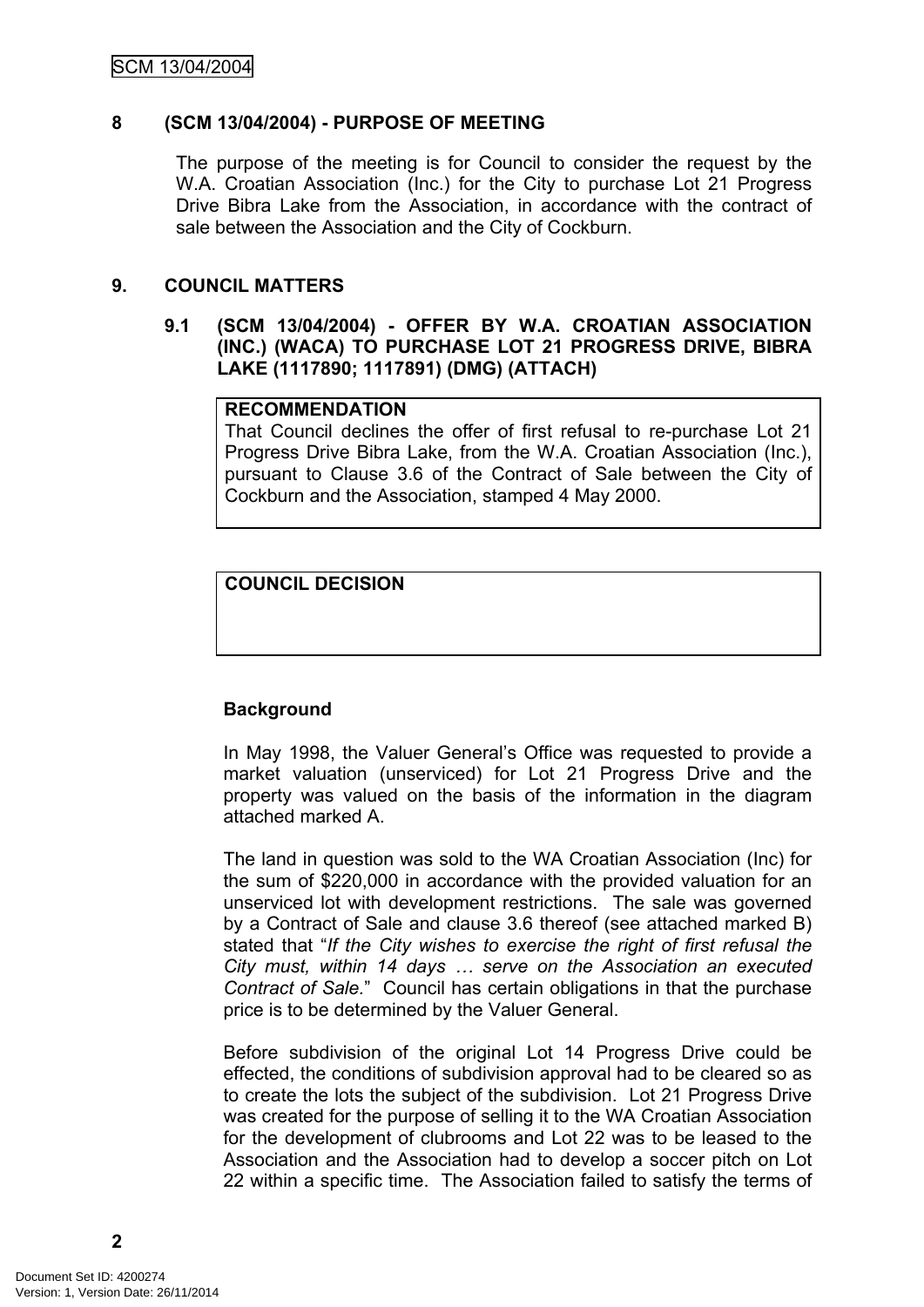## <span id="page-3-0"></span>**8 (SCM 13/04/2004) - PURPOSE OF MEETING**

The purpose of the meeting is for Council to consider the request by the W.A. Croatian Association (Inc.) for the City to purchase Lot 21 Progress Drive Bibra Lake from the Association, in accordance with the contract of sale between the Association and the City of Cockburn.

## <span id="page-3-1"></span>**9. COUNCIL MATTERS**

#### <span id="page-3-2"></span>**9.1 (SCM 13/04/2004) - OFFER BY W.A. CROATIAN ASSOCIATION (INC.) (WACA) TO PURCHASE LOT 21 PROGRESS DRIVE, BIBRA LAKE (1117890; 1117891) (DMG) (ATTACH)**

#### **RECOMMENDATION**

That Council declines the offer of first refusal to re-purchase Lot 21 Progress Drive Bibra Lake, from the W.A. Croatian Association (Inc.), pursuant to Clause 3.6 of the Contract of Sale between the City of Cockburn and the Association, stamped 4 May 2000.

## **COUNCIL DECISION**

## **Background**

In May 1998, the Valuer General's Office was requested to provide a market valuation (unserviced) for Lot 21 Progress Drive and the property was valued on the basis of the information in the diagram attached marked A.

The land in question was sold to the WA Croatian Association (Inc) for the sum of \$220,000 in accordance with the provided valuation for an unserviced lot with development restrictions. The sale was governed by a Contract of Sale and clause 3.6 thereof (see attached marked B) stated that "*If the City wishes to exercise the right of first refusal the City must, within 14 days … serve on the Association an executed Contract of Sale.*" Council has certain obligations in that the purchase price is to be determined by the Valuer General.

Before subdivision of the original Lot 14 Progress Drive could be effected, the conditions of subdivision approval had to be cleared so as to create the lots the subject of the subdivision. Lot 21 Progress Drive was created for the purpose of selling it to the WA Croatian Association for the development of clubrooms and Lot 22 was to be leased to the Association and the Association had to develop a soccer pitch on Lot 22 within a specific time. The Association failed to satisfy the terms of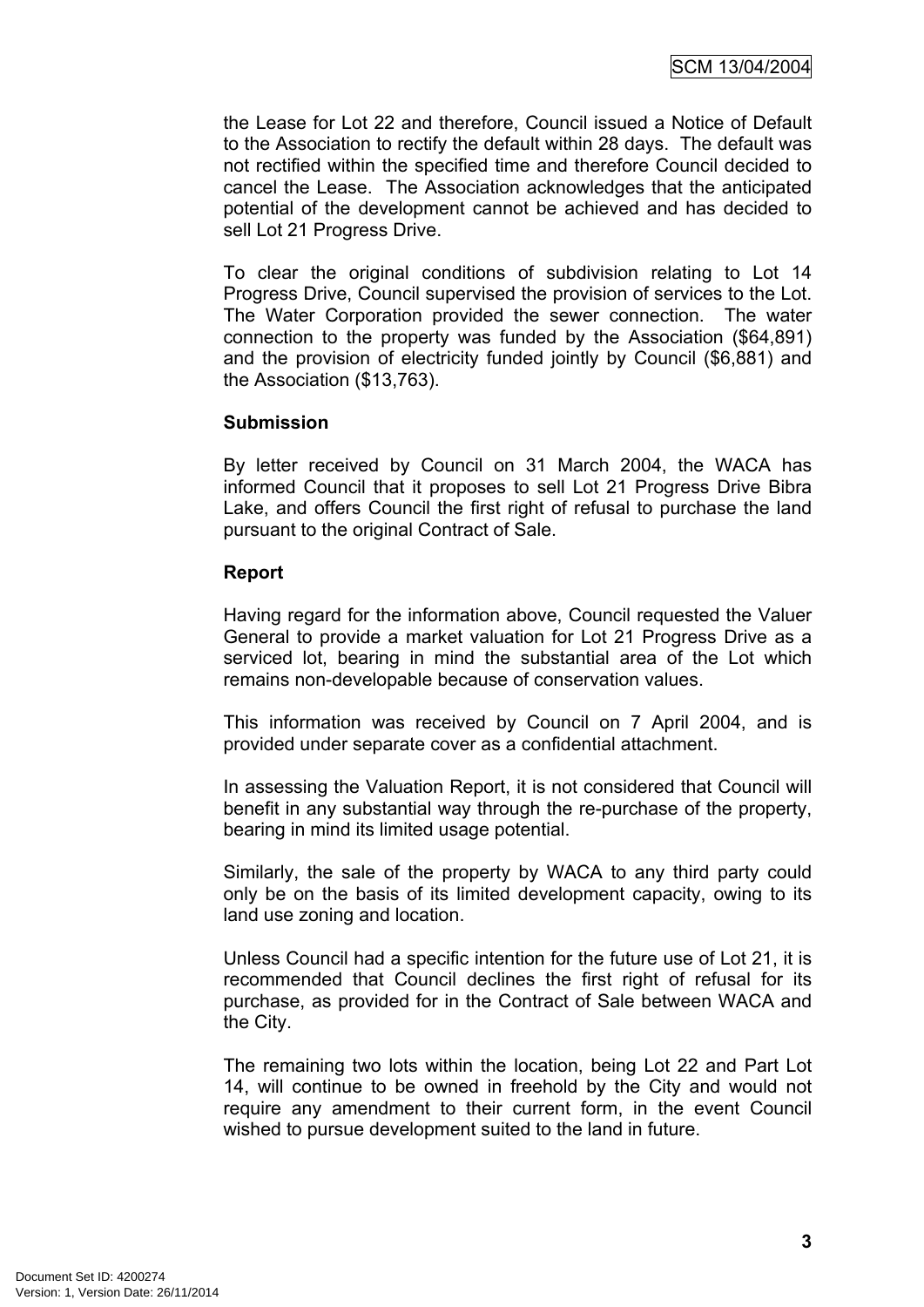the Lease for Lot 22 and therefore, Council issued a Notice of Default to the Association to rectify the default within 28 days. The default was not rectified within the specified time and therefore Council decided to cancel the Lease. The Association acknowledges that the anticipated potential of the development cannot be achieved and has decided to sell Lot 21 Progress Drive.

To clear the original conditions of subdivision relating to Lot 14 Progress Drive, Council supervised the provision of services to the Lot. The Water Corporation provided the sewer connection. The water connection to the property was funded by the Association (\$64,891) and the provision of electricity funded jointly by Council (\$6,881) and the Association (\$13,763).

#### **Submission**

By letter received by Council on 31 March 2004, the WACA has informed Council that it proposes to sell Lot 21 Progress Drive Bibra Lake, and offers Council the first right of refusal to purchase the land pursuant to the original Contract of Sale.

#### **Report**

Having regard for the information above, Council requested the Valuer General to provide a market valuation for Lot 21 Progress Drive as a serviced lot, bearing in mind the substantial area of the Lot which remains non-developable because of conservation values.

This information was received by Council on 7 April 2004, and is provided under separate cover as a confidential attachment.

In assessing the Valuation Report, it is not considered that Council will benefit in any substantial way through the re-purchase of the property, bearing in mind its limited usage potential.

Similarly, the sale of the property by WACA to any third party could only be on the basis of its limited development capacity, owing to its land use zoning and location.

Unless Council had a specific intention for the future use of Lot 21, it is recommended that Council declines the first right of refusal for its purchase, as provided for in the Contract of Sale between WACA and the City.

The remaining two lots within the location, being Lot 22 and Part Lot 14, will continue to be owned in freehold by the City and would not require any amendment to their current form, in the event Council wished to pursue development suited to the land in future.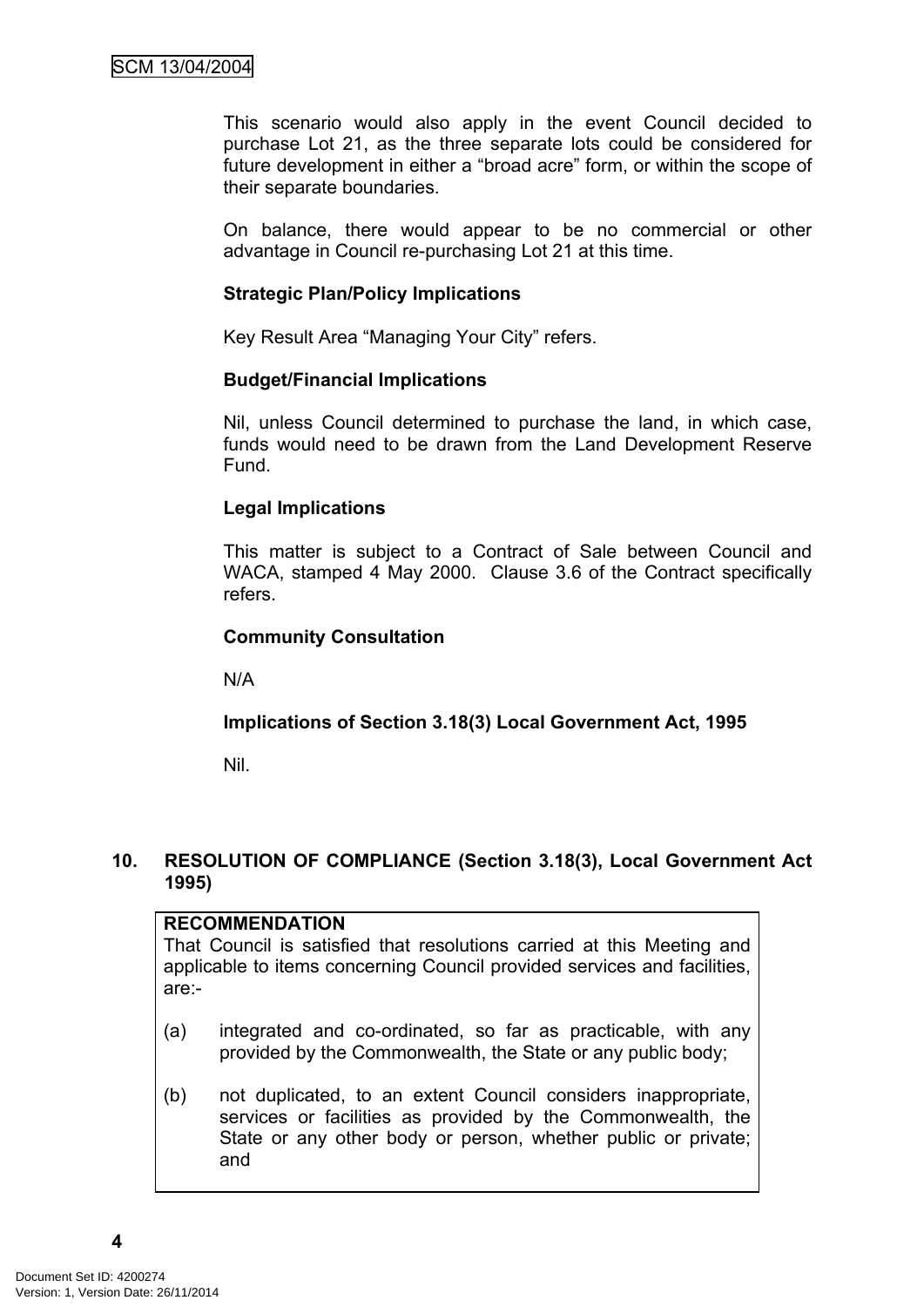This scenario would also apply in the event Council decided to purchase Lot 21, as the three separate lots could be considered for future development in either a "broad acre" form, or within the scope of their separate boundaries.

On balance, there would appear to be no commercial or other advantage in Council re-purchasing Lot 21 at this time.

## **Strategic Plan/Policy Implications**

Key Result Area "Managing Your City" refers.

#### **Budget/Financial Implications**

Nil, unless Council determined to purchase the land, in which case, funds would need to be drawn from the Land Development Reserve Fund.

## **Legal Implications**

This matter is subject to a Contract of Sale between Council and WACA, stamped 4 May 2000. Clause 3.6 of the Contract specifically refers.

## **Community Consultation**

N/A

## **Implications of Section 3.18(3) Local Government Act, 1995**

Nil.

#### <span id="page-5-0"></span>**10. RESOLUTION OF COMPLIANCE (Section 3.18(3), Local Government Act 1995)**

**RECOMMENDATION** That Council is satisfied that resolutions carried at this Meeting and applicable to items concerning Council provided services and facilities, are:-

- (a) integrated and co-ordinated, so far as practicable, with any provided by the Commonwealth, the State or any public body;
- (b) not duplicated, to an extent Council considers inappropriate, services or facilities as provided by the Commonwealth, the State or any other body or person, whether public or private; and